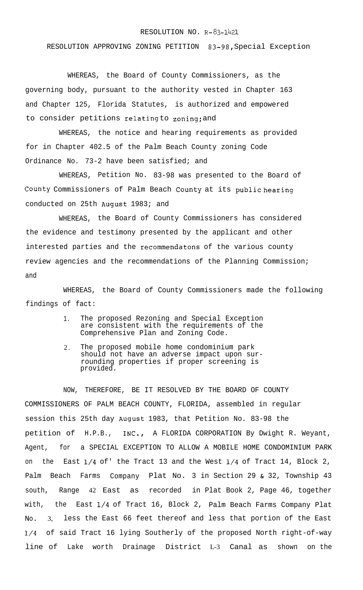## RESOLUTION NO. R-83-1421

RESOLUTION APPROVING ZONING PETITION 83-98, Special Exception

WHEREAS, the Board of County Commissioners, as the governing body, pursuant to the authority vested in Chapter 163 and Chapter 125, Florida Statutes, is authorized and empowered to consider petitions relating to zoning; and

WHEREAS, the notice and hearing requirements as provided for in Chapter 402.5 of the Palm Beach County zoning Code Ordinance No. 73-2 have been satisfied; and

WHEREAS, Petition No. 83-98 was presented to the Board of **County** Commissioners of Palm Beach **County** at its **public hearing** conducted on 25th August 1983; and

WHEREAS, the Board of County Commissioners has considered the evidence and testimony presented by the applicant and other interested parties and the recommendatons of the various county review agencies and the recommendations of the Planning Commission; and

WHEREAS, the Board of County Commissioners made the following findings of fact:

- 1. The proposed Rezoning and Special Exception are consistent with the requirements of the Comprehensive Plan and Zoning Code.
- 2. The proposed mobile home condominium park should not have an adverse impact upon surrounding properties if proper screening is provided.

NOW, THEREFORE, BE IT RESOLVED BY THE BOARD OF COUNTY COMMISSIONERS OF PALM BEACH COUNTY, FLORIDA, assembled in regular session this 25th day August 1983, that Petition No. 83-98 the petition of H.P.B., INC., A FLORIDA CORPORATION By Dwight R. Weyant, Agent, for a SPECIAL EXCEPTION TO ALLOW A MOBILE HOME CONDOMINIUM PARK on the East l/4 of' the Tract 13 and the West l/4 of Tract 14, Block 2, Palm Beach Farms Company Plat No. 3 in Section 29 & 32, Township 43 south, Range 42 East as recorded in Plat Book 2, Page 46, together with, the East l/4 of Tract 16, Block 2, Palm Beach Farms Company Plat NO. 3, less the East 66 feet thereof and less that portion of the East l/4 of said Tract 16 lying Southerly of the proposed North right-of-way line of Lake worth Drainage District L-3 Canal as shown on the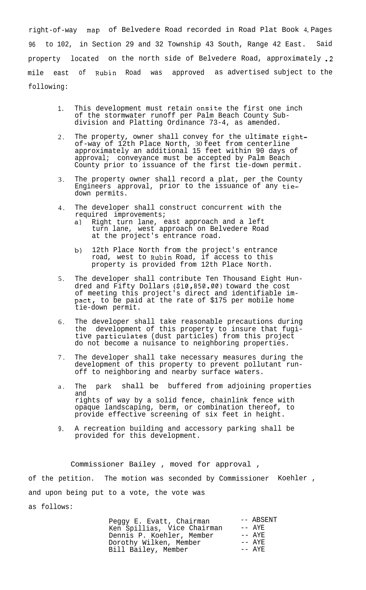right-of-way map of Belvedere Road recorded in Road Plat Book 4, Pages 96 to 102, in Section 29 and 32 Township 43 South, Range 42 East. Said property located on the north side of Belvedere Road, approximately .2 mile east of Rubin Road was approved as advertised subject to the following:

- 1. This development must retain onsite the first one inch of the stormwater runoff per Palm Beach County Subdivision and Platting Ordinance 73-4, as amended.
- 2 . The property, owner shall convey for the ultimate rightof-way of 12th Place North, 30 feet from centerline approximately an additional 15 feet within 90 days of approval; conveyance must be accepted by Palm Beach County prior to issuance of the first tie-down permit.
- 3 . The property owner shall record a plat, per the County Engineers approval, prior to the issuance of any tiedown permits.
- 4 . The developer shall construct concurrent with the required improvements;
	- a) Right turn lane, east approach and a left turn lane, west approach on Belvedere Road at the project's entrance road.
	- b) 12th Place North from the project's entrance road, west to Rubin Road, if access to this property is provided from 12th Place North.
- 5 . The developer shall contribute Ten Thousand Eight Hundred and Fifty Dollars (\$10,850.00) toward the cost of meeting this project's direct and identifiable impact, to be paid at the rate of \$175 per mobile home tie-down permit.
- 6 . The developer shall take reasonable precautions during the development of this property to insure that fugitive particulates (dust particles) from this project do not become a nuisance to neighboring properties.
- 7 . The developer shall take necessary measures during the development of this property to prevent pollutant runoff to neighboring and nearby surface waters.
- a . The park shall be buffered from adjoining properties and rights of way by a solid fence, chainlink fence with opaque landscaping, berm, or combination thereof, to provide effective screening of six feet in height.
- 9. A recreation building and accessory parking shall be provided for this development.

Commissioner Bailey , moved for approval , of the petition. The motion was seconded by Commissioner Koehler , and upon being put to a vote, the vote was as follows:

> Peggy E. Evatt, Chairman -- ABSENT<br>Ken Spillias, Vice Chairman -- AYE Ken Spillias, Vice Chairman -- AYE<br>Dennis P. Koehler. Member -- AYE Dennis P. Koehler, Member -- AYE<br>Dorothy Wilken, Member -- AYE Dorothy Wilken, Member -- AYE Bill Bailey, Member